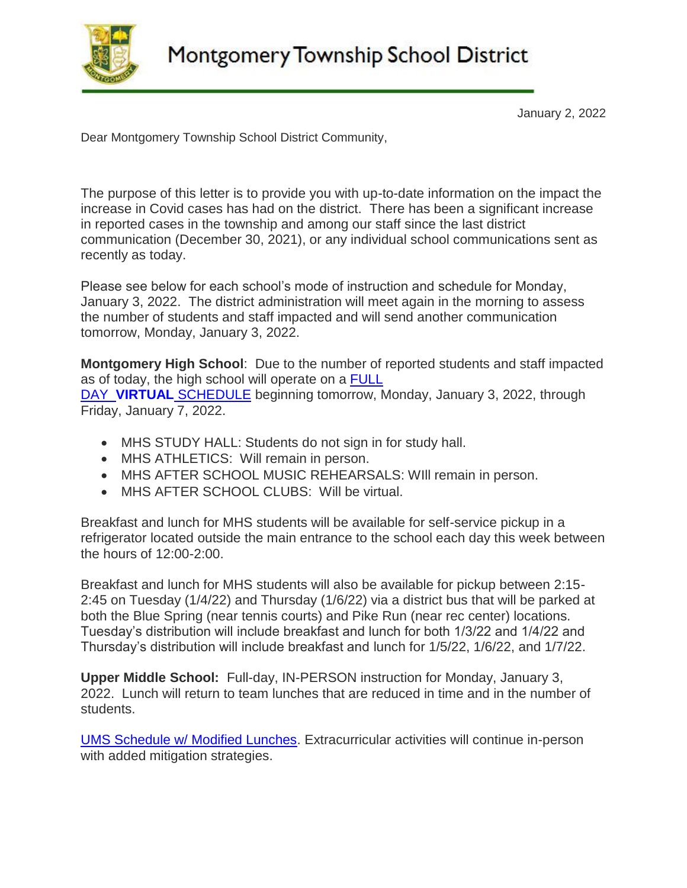

**Montgomery Township School District** 

January 2, 2022

Dear Montgomery Township School District Community,

The purpose of this letter is to provide you with up-to-date information on the impact the increase in Covid cases has had on the district. There has been a significant increase in reported cases in the township and among our staff since the last district communication (December 30, 2021), or any individual school communications sent as recently as today.

Please see below for each school's mode of instruction and schedule for Monday, January 3, 2022. The district administration will meet again in the morning to assess the number of students and staff impacted and will send another communication tomorrow, Monday, January 3, 2022.

**Montgomery High School**: Due to the number of reported students and staff impacted as of today, the high school will operate on a [FULL](https://docs.google.com/document/d/1YgYILWRcpjY-QalLtZw-fTBYjVSZhePNQCZObjr0ASA/edit?usp=sharing)  DAY **VIRTUAL** [SCHEDULE](https://docs.google.com/document/d/1YgYILWRcpjY-QalLtZw-fTBYjVSZhePNQCZObjr0ASA/edit?usp=sharing) beginning tomorrow, Monday, January 3, 2022, through Friday, January 7, 2022.

- MHS STUDY HALL: Students do not sign in for study hall.
- MHS ATHLETICS: Will remain in person.
- MHS AFTER SCHOOL MUSIC REHEARSALS: WIll remain in person.
- MHS AFTER SCHOOL CLUBS: Will be virtual.

Breakfast and lunch for MHS students will be available for self-service pickup in a refrigerator located outside the main entrance to the school each day this week between the hours of 12:00-2:00.

Breakfast and lunch for MHS students will also be available for pickup between 2:15- 2:45 on Tuesday (1/4/22) and Thursday (1/6/22) via a district bus that will be parked at both the Blue Spring (near tennis courts) and Pike Run (near rec center) locations. Tuesday's distribution will include breakfast and lunch for both 1/3/22 and 1/4/22 and Thursday's distribution will include breakfast and lunch for 1/5/22, 1/6/22, and 1/7/22.

**Upper Middle School:** Full-day, IN-PERSON instruction for Monday, January 3, 2022. Lunch will return to team lunches that are reduced in time and in the number of students.

[UMS Schedule w/ Modified Lunches.](https://docs.google.com/document/d/1t5y0iEuyEksgbbgdgw83-3bk8SzPkFY2DkO4l94K4YQ/edit?usp=sharing) Extracurricular activities will continue in-person with added mitigation strategies.